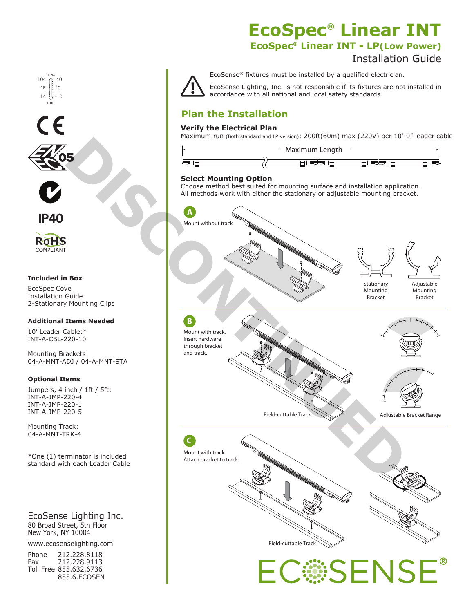max min 104 14 붜 40  $-10$  $^{\circ}C$ 





**IP40**

**RoHS** COMPLIANT

#### **Included in Box**

EcoSpec Cove Installation Guide 2-Stationary Mounting Clips

#### **Additional Items Needed**

10' Leader Cable:\* INT-A-CBL-220-10

Mounting Brackets: 04-A-MNT-ADJ / 04-A-MNT-STA

#### **Optional Items**

Jumpers, 4 inch / 1ft / 5ft: INT-A-JMP-220-4 INT-A-JMP-220-1 INT-A-JMP-220-5

Mounting Track: 04-A-MNT-TRK-4

\*One (1) terminator is included standard with each Leader Cable

EcoSense Lighting Inc. 80 Broad Street, 5th Floor New York, NY 10004

www.ecosenselighting.com

| Phone | 212.228.8118           |
|-------|------------------------|
| Fax   | 212.228.9113           |
|       | Toll Free 855.632.6736 |
|       | 855.6.ECOSEN           |

## **EcoSpec® Linear INT EcoSpec® Linear INT - LP(Low Power)**

# Installation Guide



EcoSense® fixtures must be installed by a qualified electrician.

EcoSense Lighting, Inc. is not responsible if its fixtures are not installed in accordance with all national and local safety standards.

### **Plan the Installation**

#### **Verify the Electrical Plan**

Maximum run (Both standard and LP version): 200ft(60m) max (220V) per 10'-0" leader cable



#### **Select Mounting Option**

Choose method best suited for mounting surface and installation application. All methods work with either the stationary or adjustable mounting bracket.